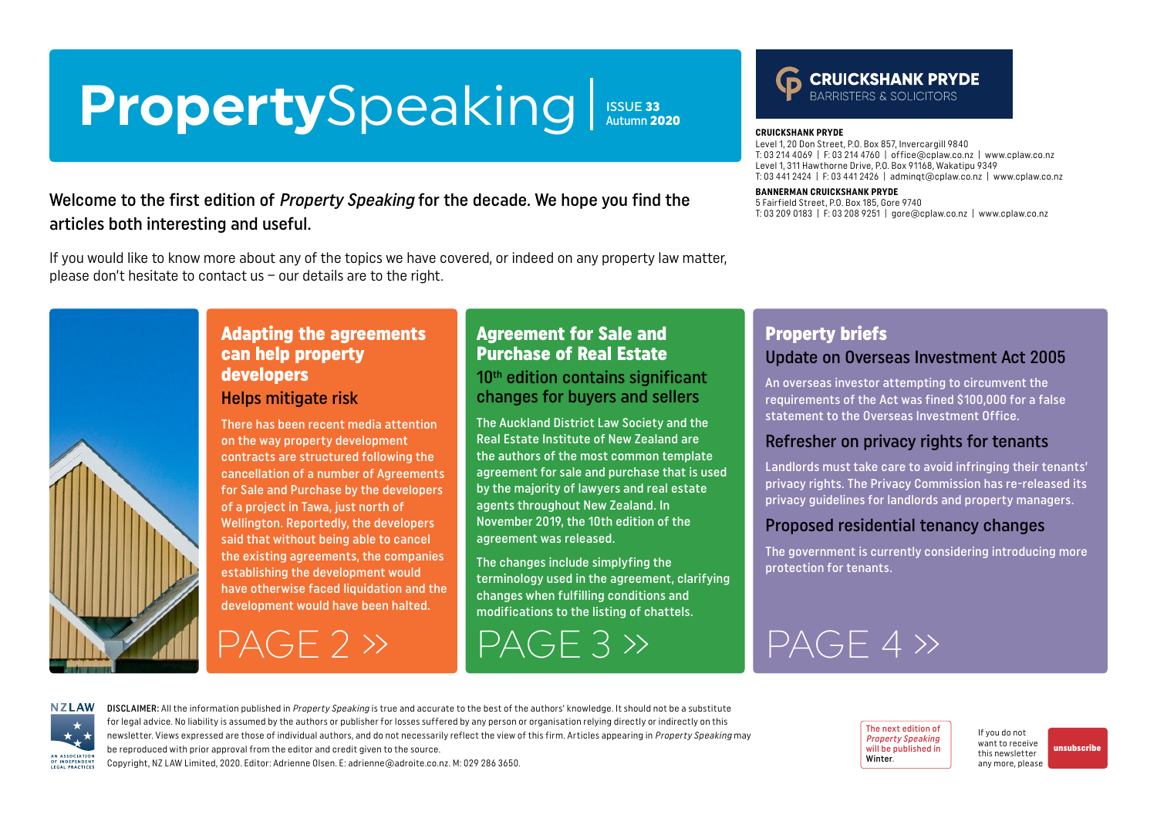# <span id="page-0-0"></span>PropertySpeaking ISSUE 33 Autumn 2020

Welcome to the first edition of Property Speaking for the decade. We hope you find the articles both interesting and useful.

If you would like to know more about any of the topics we have covered, or indeed on any property law matter, please don't hesitate to contact us – our details are to the right.



#### **CRUICKSHANK PRYDE**

Level 1, 20 Don Street, P.O. Box 857, Invercargill 9840 T: 03 214 4069 | F: 03 214 4760 | office@cplaw.co.nz | www.cplaw.co.nz Level 1, 311 Hawthorne Drive, P.O. Box 91168, Wakatipu 9349 T: 03 441 2424 | F: 03 441 2426 | adminqt@cplaw.co.nz | www.cplaw.co.nz

#### **BANNERMAN CRUICKSHANK PRYDE**

5 Fairfield Street, P.O. Box 185, Gore 9740 T: 03 209 0183 | F: 03 208 9251 | gore@cplaw.co.nz | www.cplaw.co.nz



### Adapting the agreements can help property developers

#### Helps mitigate risk

There has been recent media attention on the way property development contracts are structured following the cancellation of a number of Agreements for Sale and Purchase by the developers of a project in Tawa, just north of Wellington. Reportedly, the developers said that without being able to cancel the existing agreements, the companies establishing the development would have otherwise faced liquidation and the development would have been halted.

 $PAGF 2 \gg$ 

## Agreement for Sale and Purchase of Real Estate

10<sup>th</sup> edition contains significant changes for buyers and sellers

The Auckland District Law Society and the Real Estate Institute of New Zealand are the authors of the most common template agreement for sale and purchase that is used by the majority of lawyers and real estate agents throughout New Zealand. In November 2019, the 10th edition of the agreement was released.

The changes include simplyfing the terminology used in the agreement, clarifying changes when fulfilling conditions and modifications to the listing of chattels.

## Property briefs

#### Update on Overseas Investment Act 2005

An overseas investor attempting to circumvent the requirements of the Act was fined \$100,000 for a false statement to the Overseas Investment Office.

#### Refresher on privacy rights for tenants

Landlords must take care to avoid infringing their tenants' privacy rights. The Privacy Commission has re-released its privacy guidelines for landlords and property managers.

#### Proposed residential tenancy changes

The government is currently considering introducing more protection for tenants.

# $PAGE 3 >$   $PAGE 4 >$

**NZLAW** AN ASSOCIATION OF INDEPENDENT LEGAL PRACTICE

DISCLAIMER: All the information published in Property Speaking is true and accurate to the best of the authors' knowledge. It should not be a substitute for legal advice. No liability is assumed by the authors or publisher for losses suffered by any person or organisation relying directly or indirectly on this newsletter. Views expressed are those of individual authors, and do not necessarily reflect the view of this firm. Articles appearing in Property Speaking may be reproduced with prior approval from the editor and credit given to the source.

The next edition of Property Speaking will be published in Winter.

If you do not want to receive this newsletter any more, please

[unsubscribe](mailto:adrienne%40adroite.co.nz?subject=Property%20Speaking%20-%20unsubscribe%20me%20please)

Copyright, NZ LAW Limited, 2020. Editor: Adrienne Olsen. [E: adrienne@adroite.co.nz.](mailto:adrienne@adroite.co.nz) M: 029 286 3650.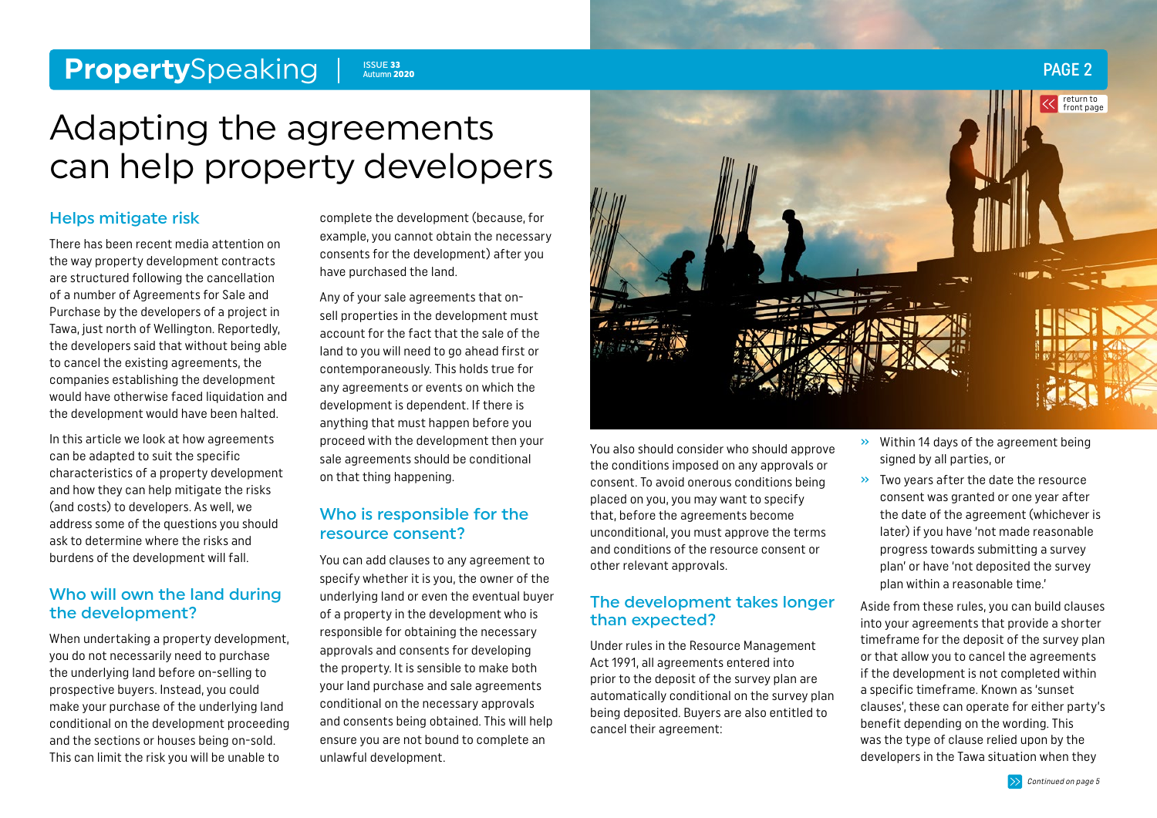#### <span id="page-1-0"></span>**Property**Speaking PAGE 2 ISSUE 33 **Autumn 2020**

# Adapting the agreements can help property developers

#### Helps mitigate risk

There has been recent media attention on the way property development contracts are structured following the cancellation of a number of Agreements for Sale and Purchase by the developers of a project in Tawa, just north of Wellington. Reportedly, the developers said that without being able to cancel the existing agreements, the companies establishing the development would have otherwise faced liquidation and the development would have been halted.

In this article we look at how agreements can be adapted to suit the specific characteristics of a property development and how they can help mitigate the risks (and costs) to developers. As well, we address some of the questions you should ask to determine where the risks and burdens of the development will fall.

#### Who will own the land during the development?

When undertaking a property development, you do not necessarily need to purchase the underlying land before on-selling to prospective buyers. Instead, you could make your purchase of the underlying land conditional on the development proceeding and the sections or houses being on-sold. This can limit the risk you will be unable to

complete the development (because, for example, you cannot obtain the necessary consents for the development) after you have purchased the land.

Any of your sale agreements that onsell properties in the development must account for the fact that the sale of the land to you will need to go ahead first or contemporaneously. This holds true for any agreements or events on which the development is dependent. If there is anything that must happen before you proceed with the development then your sale agreements should be conditional on that thing happening.

### Who is responsible for the resource consent?

You can add clauses to any agreement to specify whether it is you, the owner of the underlying land or even the eventual buyer of a property in the development who is responsible for obtaining the necessary approvals and consents for developing the property. It is sensible to make both your land purchase and sale agreements conditional on the necessary approvals and consents being obtained. This will help ensure you are not bound to complete an unlawful development.



You also should consider who should approve the conditions imposed on any approvals or consent. To avoid onerous conditions being placed on you, you may want to specify that, before the agreements become unconditional, you must approve the terms and conditions of the resource consent or other relevant approvals.

#### The development takes longer than expected?

Under rules in the Resource Management Act 1991, all agreements entered into prior to the deposit of the survey plan are automatically conditional on the survey plan being deposited. Buyers are also entitled to cancel their agreement:

- » Within 14 days of the agreement being signed by all parties, or
- » Two years after the date the resource consent was granted or one year after the date of the agreement (whichever is later) if you have 'not made reasonable progress towards submitting a survey plan' or have 'not deposited the survey plan within a reasonable time.'

Aside from these rules, you can build clauses into your agreements that provide a shorter timeframe for the deposit of the survey plan or that allow you to cancel the agreements if the development is not completed within a specific timeframe. Known as 'sunset clauses', these can operate for either party's benefit depending on the wording. This was the type of clause relied upon by the developers in the Tawa situation when they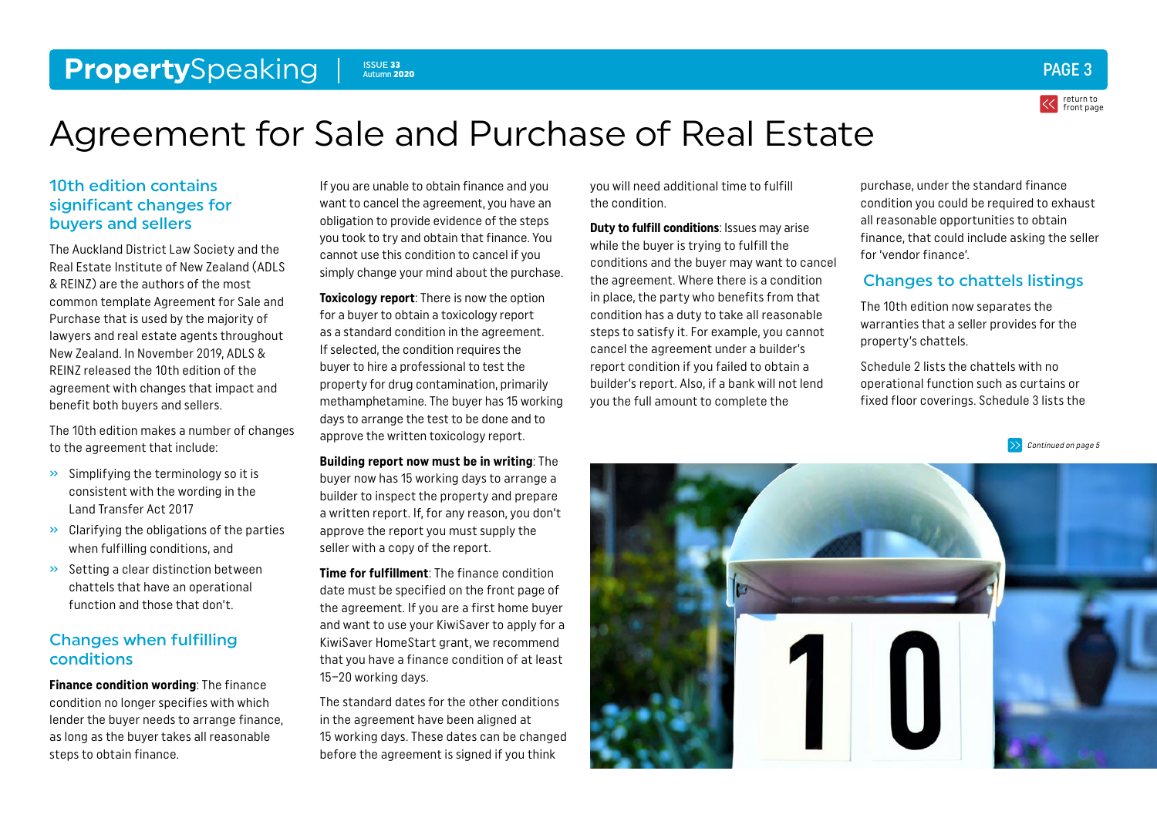#### <span id="page-2-0"></span>**Property**Speaking Pages 2018 and 2020 Contract 2018 2019 10:00 10:00 10:00 10:00 10:00 10:00 10:00 10:00 10:00 10:00 10:00 10:00 10:00 10:00 10:00 10:00 10:00 10:00 10:00 10:00 10:00 10:00 10:00 10:00 10:00 10:00 10:00 10 Autumn 2020



# Agreement for Sale and Purchase of Real Estate

### 10th edition contains significant changes for buyers and sellers

The Auckland District Law Society and the Real Estate Institute of New Zealand (ADLS & REINZ) are the authors of the most common template Agreement for Sale and Purchase that is used by the majority of lawyers and real estate agents throughout New Zealand. In November 2019, ADLS & REINZ released the 10th edition of the agreement with changes that impact and benefit both buyers and sellers.

The 10th edition makes a number of changes to the agreement that include:

- » Simplifying the terminology so it is consistent with the wording in the Land Transfer Act 2017
- » Clarifying the obligations of the parties when fulfilling conditions, and
- » Setting a clear distinction between chattels that have an operational function and those that don't.

### Changes when fulfilling conditions

**Finance condition wording**: The finance condition no longer specifies with which lender the buyer needs to arrange finance, as long as the buyer takes all reasonable steps to obtain finance.

If you are unable to obtain finance and you want to cancel the agreement, you have an obligation to provide evidence of the steps you took to try and obtain that finance. You cannot use this condition to cancel if you simply change your mind about the purchase.

**Toxicology report:** There is now the option for a buyer to obtain a toxicology report as a standard condition in the agreement. If selected, the condition requires the buyer to hire a professional to test the property for drug contamination, primarily methamphetamine. The buyer has 15 working days to arrange the test to be done and to approve the written toxicology report.

**Building report now must be in writing**: The buyer now has 15 working days to arrange a builder to inspect the property and prepare a written report. If, for any reason, you don't approve the report you must supply the seller with a copy of the report.

**Time for fulfillment**: The finance condition date must be specified on the front page of the agreement. If you are a first home buyer and want to use your KiwiSaver to apply for a KiwiSaver HomeStart grant, we recommend that you have a finance condition of at least 15–20 working days.

The standard dates for the other conditions in the agreement have been aligned at 15 working days. These dates can be changed before the agreement is signed if you think

you will need additional time to fulfill the condition.

**Duty to fulfill conditions**: Issues may arise while the buyer is trying to fulfill the conditions and the buyer may want to cancel the agreement. Where there is a condition in place, the party who benefits from that condition has a duty to take all reasonable steps to satisfy it. For example, you cannot cancel the agreement under a builder's report condition if you failed to obtain a builder's report. Also, if a bank will not lend you the full amount to complete the

purchase, under the standard finance condition you could be required to exhaust all reasonable opportunities to obtain finance, that could include asking the seller for 'vendor finance'.

### Changes to chattels listings

The 10th edition now separates the warranties that a seller provides for the property's chattels.

Schedule 2 lists the chattels with no operational function such as curtains or fixed floor coverings. Schedule 3 lists the

[Continued on page 5](#page-4-0)

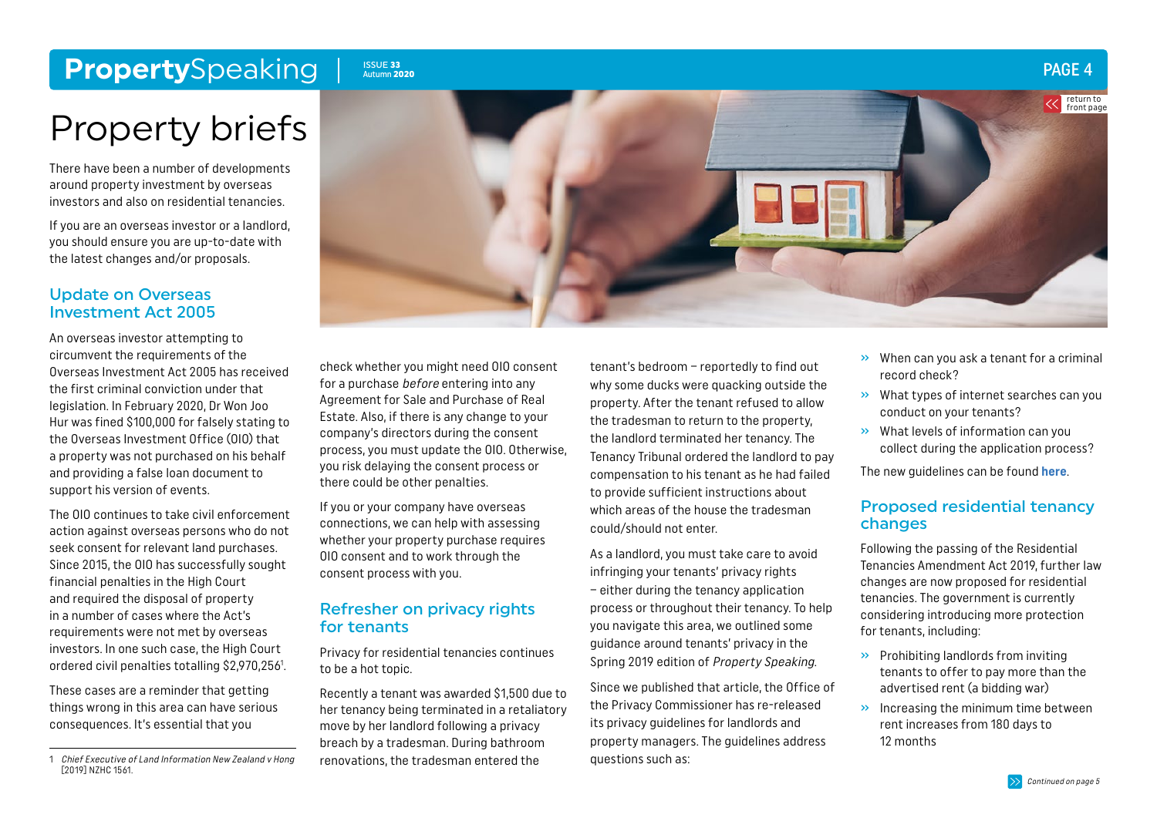# <span id="page-3-0"></span>**Property**Speaking I ISSUE 33

### Autumn 2020

# Property briefs

There have been a number of developments around property investment by overseas investors and also on residential tenancies.

If you are an overseas investor or a landlord, you should ensure you are up-to-date with the latest changes and/or proposals.

#### Update on Overseas Investment Act 2005

An overseas investor attempting to circumvent the requirements of the Overseas Investment Act 2005 has received the first criminal conviction under that legislation. In February 2020, Dr Won Joo Hur was fined \$100,000 for falsely stating to the Overseas Investment Office (OIO) that a property was not purchased on his behalf and providing a false loan document to support his version of events.

The OIO continues to take civil enforcement action against overseas persons who do not seek consent for relevant land purchases. Since 2015, the OIO has successfully sought financial penalties in the High Court and required the disposal of property in a number of cases where the Act's requirements were not met by overseas investors. In one such case, the High Court ordered civil penalties totalling \$2,970,2561 .

These cases are a reminder that getting things wrong in this area can have serious consequences. It's essential that you

check whether you might need OIO consent for a purchase before entering into any Agreement for Sale and Purchase of Real Estate. Also, if there is any change to your company's directors during the consent process, you must update the OIO. Otherwise, you risk delaying the consent process or there could be other penalties.

If you or your company have overseas connections, we can help with assessing whether your property purchase requires OIO consent and to work through the consent process with you.

#### Refresher on privacy rights for tenants

Privacy for residential tenancies continues to be a hot topic.

Recently a tenant was awarded \$1,500 due to her tenancy being terminated in a retaliatory move by her landlord following a privacy breach by a tradesman. During bathroom renovations, the tradesman entered the

tenant's bedroom – reportedly to find out why some ducks were quacking outside the property. After the tenant refused to allow the tradesman to return to the property, the landlord terminated her tenancy. The Tenancy Tribunal ordered the landlord to pay compensation to his tenant as he had failed to provide sufficient instructions about which areas of the house the tradesman could/should not enter.

As a landlord, you must take care to avoid infringing your tenants' privacy rights – either during the tenancy application process or throughout their tenancy. To help you navigate this area, we outlined some guidance around tenants' privacy in the Spring 2019 edition of Property Speaking.

Since we published that article, the Office of the Privacy Commissioner has re-released its privacy guidelines for landlords and property managers. The guidelines address questions such as:

» When can you ask a tenant for a criminal record check?

PAGE 4

return to [front page](#page-0-0)

- » What types of internet searches can you conduct on your tenants?
- » What levels of information can you collect during the application process?

The new guidelines can be found **[here](https://privacy.org.nz/news-and-publications/guidance-resources/privacy-act-guidance-for-landlords-and-tenants/)**.

#### Proposed residential tenancy changes

Following the passing of the Residential Tenancies Amendment Act 2019, further law changes are now proposed for residential tenancies. The government is currently considering introducing more protection for tenants, including:

- » Prohibiting landlords from inviting tenants to offer to pay more than the advertised rent (a bidding war)
- » Increasing the minimum time between rent increases from 180 days to 12 months





<sup>1</sup> Chief Executive of Land Information New Zealand v Hong [2019] NZHC 1561.